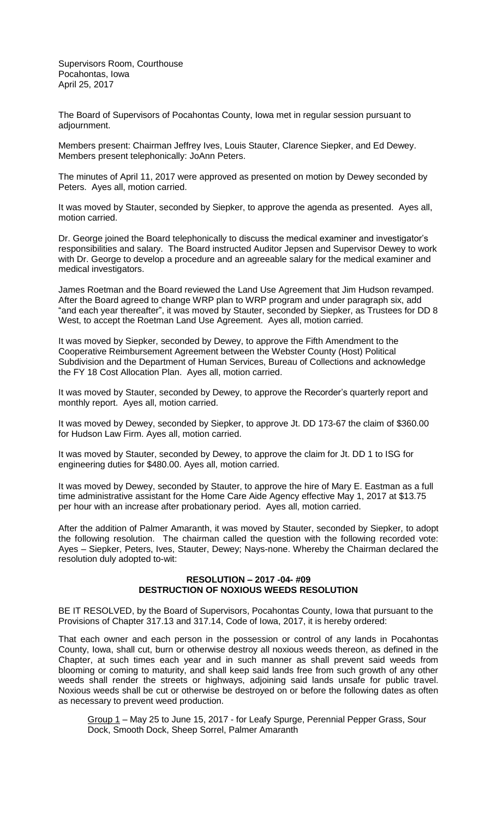Supervisors Room, Courthouse Pocahontas, Iowa April 25, 2017

The Board of Supervisors of Pocahontas County, Iowa met in regular session pursuant to adjournment.

Members present: Chairman Jeffrey Ives, Louis Stauter, Clarence Siepker, and Ed Dewey. Members present telephonically: JoAnn Peters.

The minutes of April 11, 2017 were approved as presented on motion by Dewey seconded by Peters. Ayes all, motion carried.

It was moved by Stauter, seconded by Siepker, to approve the agenda as presented. Ayes all, motion carried.

Dr. George joined the Board telephonically to discuss the medical examiner and investigator's responsibilities and salary. The Board instructed Auditor Jepsen and Supervisor Dewey to work with Dr. George to develop a procedure and an agreeable salary for the medical examiner and medical investigators.

James Roetman and the Board reviewed the Land Use Agreement that Jim Hudson revamped. After the Board agreed to change WRP plan to WRP program and under paragraph six, add "and each year thereafter", it was moved by Stauter, seconded by Siepker, as Trustees for DD 8 West, to accept the Roetman Land Use Agreement. Ayes all, motion carried.

It was moved by Siepker, seconded by Dewey, to approve the Fifth Amendment to the Cooperative Reimbursement Agreement between the Webster County (Host) Political Subdivision and the Department of Human Services, Bureau of Collections and acknowledge the FY 18 Cost Allocation Plan. Ayes all, motion carried.

It was moved by Stauter, seconded by Dewey, to approve the Recorder's quarterly report and monthly report. Ayes all, motion carried.

It was moved by Dewey, seconded by Siepker, to approve Jt. DD 173-67 the claim of \$360.00 for Hudson Law Firm. Ayes all, motion carried.

It was moved by Stauter, seconded by Dewey, to approve the claim for Jt. DD 1 to ISG for engineering duties for \$480.00. Ayes all, motion carried.

It was moved by Dewey, seconded by Stauter, to approve the hire of Mary E. Eastman as a full time administrative assistant for the Home Care Aide Agency effective May 1, 2017 at \$13.75 per hour with an increase after probationary period. Ayes all, motion carried.

After the addition of Palmer Amaranth, it was moved by Stauter, seconded by Siepker, to adopt the following resolution. The chairman called the question with the following recorded vote: Ayes – Siepker, Peters, Ives, Stauter, Dewey; Nays-none. Whereby the Chairman declared the resolution duly adopted to-wit:

## **RESOLUTION – 2017 -04- #09 DESTRUCTION OF NOXIOUS WEEDS RESOLUTION**

BE IT RESOLVED, by the Board of Supervisors, Pocahontas County, Iowa that pursuant to the Provisions of Chapter 317.13 and 317.14, Code of Iowa, 2017, it is hereby ordered:

That each owner and each person in the possession or control of any lands in Pocahontas County, Iowa, shall cut, burn or otherwise destroy all noxious weeds thereon, as defined in the Chapter, at such times each year and in such manner as shall prevent said weeds from blooming or coming to maturity, and shall keep said lands free from such growth of any other weeds shall render the streets or highways, adjoining said lands unsafe for public travel. Noxious weeds shall be cut or otherwise be destroyed on or before the following dates as often as necessary to prevent weed production.

Group 1 – May 25 to June 15, 2017 - for Leafy Spurge, Perennial Pepper Grass, Sour Dock, Smooth Dock, Sheep Sorrel, Palmer Amaranth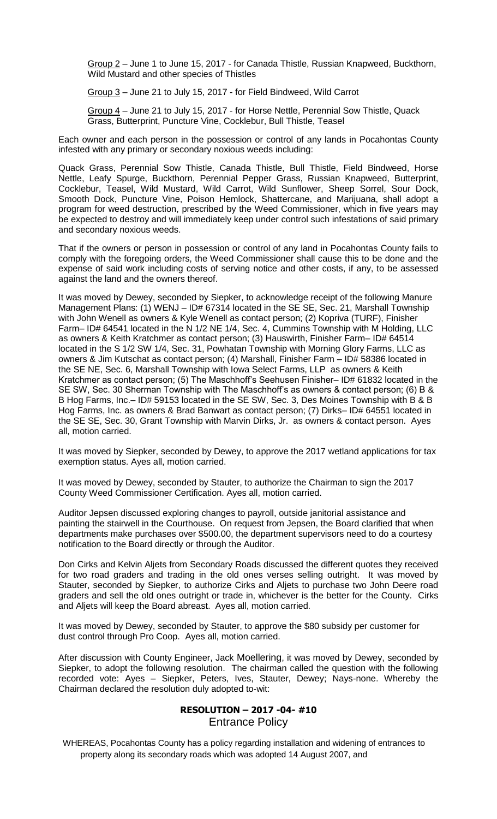Group 2 – June 1 to June 15, 2017 - for Canada Thistle, Russian Knapweed, Buckthorn, Wild Mustard and other species of Thistles

Group 3 – June 21 to July 15, 2017 - for Field Bindweed, Wild Carrot

Group 4 – June 21 to July 15, 2017 - for Horse Nettle, Perennial Sow Thistle, Quack Grass, Butterprint, Puncture Vine, Cocklebur, Bull Thistle, Teasel

Each owner and each person in the possession or control of any lands in Pocahontas County infested with any primary or secondary noxious weeds including:

Quack Grass, Perennial Sow Thistle, Canada Thistle, Bull Thistle, Field Bindweed, Horse Nettle, Leafy Spurge, Buckthorn, Perennial Pepper Grass, Russian Knapweed, Butterprint, Cocklebur, Teasel, Wild Mustard, Wild Carrot, Wild Sunflower, Sheep Sorrel, Sour Dock, Smooth Dock, Puncture Vine, Poison Hemlock, Shattercane, and Marijuana, shall adopt a program for weed destruction, prescribed by the Weed Commissioner, which in five years may be expected to destroy and will immediately keep under control such infestations of said primary and secondary noxious weeds.

That if the owners or person in possession or control of any land in Pocahontas County fails to comply with the foregoing orders, the Weed Commissioner shall cause this to be done and the expense of said work including costs of serving notice and other costs, if any, to be assessed against the land and the owners thereof.

It was moved by Dewey, seconded by Siepker, to acknowledge receipt of the following Manure Management Plans: (1) WENJ – ID# 67314 located in the SE SE, Sec. 21, Marshall Township with John Wenell as owners & Kyle Wenell as contact person; (2) Kopriva (TURF), Finisher Farm– ID# 64541 located in the N 1/2 NE 1/4, Sec. 4, Cummins Township with M Holding, LLC as owners & Keith Kratchmer as contact person; (3) Hauswirth, Finisher Farm– ID# 64514 located in the S 1/2 SW 1/4, Sec. 31, Powhatan Township with Morning Glory Farms, LLC as owners & Jim Kutschat as contact person; (4) Marshall, Finisher Farm – ID# 58386 located in the SE NE, Sec. 6, Marshall Township with Iowa Select Farms, LLP as owners & Keith Kratchmer as contact person; (5) The Maschhoff's Seehusen Finisher– ID# 61832 located in the SE SW, Sec. 30 Sherman Township with The Maschhoff's as owners & contact person; (6) B & B Hog Farms, Inc.– ID# 59153 located in the SE SW, Sec. 3, Des Moines Township with B & B Hog Farms, Inc. as owners & Brad Banwart as contact person; (7) Dirks– ID# 64551 located in the SE SE, Sec. 30, Grant Township with Marvin Dirks, Jr. as owners & contact person. Ayes all, motion carried.

It was moved by Siepker, seconded by Dewey, to approve the 2017 wetland applications for tax exemption status. Ayes all, motion carried.

It was moved by Dewey, seconded by Stauter, to authorize the Chairman to sign the 2017 County Weed Commissioner Certification. Ayes all, motion carried.

Auditor Jepsen discussed exploring changes to payroll, outside janitorial assistance and painting the stairwell in the Courthouse. On request from Jepsen, the Board clarified that when departments make purchases over \$500.00, the department supervisors need to do a courtesy notification to the Board directly or through the Auditor.

Don Cirks and Kelvin Aljets from Secondary Roads discussed the different quotes they received for two road graders and trading in the old ones verses selling outright. It was moved by Stauter, seconded by Siepker, to authorize Cirks and Aljets to purchase two John Deere road graders and sell the old ones outright or trade in, whichever is the better for the County. Cirks and Aljets will keep the Board abreast. Ayes all, motion carried.

It was moved by Dewey, seconded by Stauter, to approve the \$80 subsidy per customer for dust control through Pro Coop. Ayes all, motion carried.

After discussion with County Engineer, Jack Moellering, it was moved by Dewey, seconded by Siepker, to adopt the following resolution. The chairman called the question with the following recorded vote: Ayes – Siepker, Peters, Ives, Stauter, Dewey; Nays-none. Whereby the Chairman declared the resolution duly adopted to-wit:

## **RESOLUTION – 2017 -04- #10** Entrance Policy

WHEREAS, Pocahontas County has a policy regarding installation and widening of entrances to property along its secondary roads which was adopted 14 August 2007, and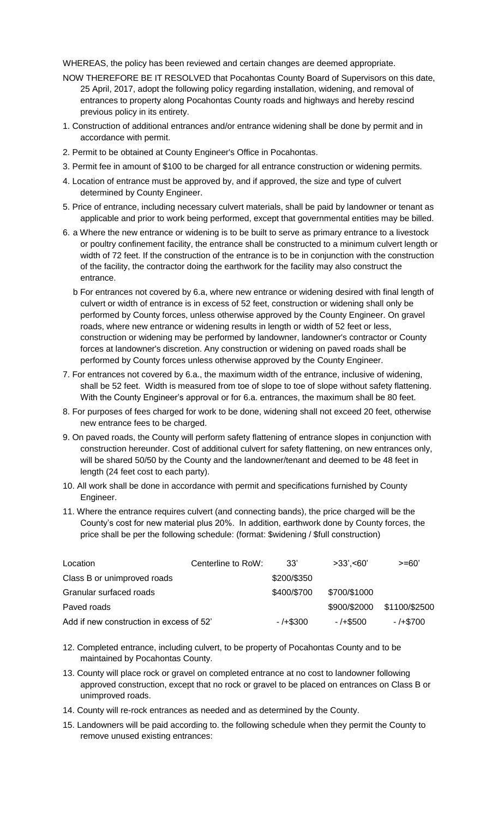WHEREAS, the policy has been reviewed and certain changes are deemed appropriate.

- NOW THEREFORE BE IT RESOLVED that Pocahontas County Board of Supervisors on this date, 25 April, 2017, adopt the following policy regarding installation, widening, and removal of entrances to property along Pocahontas County roads and highways and hereby rescind previous policy in its entirety.
- 1. Construction of additional entrances and/or entrance widening shall be done by permit and in accordance with permit.
- 2. Permit to be obtained at County Engineer's Office in Pocahontas.
- 3. Permit fee in amount of \$100 to be charged for all entrance construction or widening permits.
- 4. Location of entrance must be approved by, and if approved, the size and type of culvert determined by County Engineer.
- 5. Price of entrance, including necessary culvert materials, shall be paid by landowner or tenant as applicable and prior to work being performed, except that governmental entities may be billed.
- 6. a Where the new entrance or widening is to be built to serve as primary entrance to a livestock or poultry confinement facility, the entrance shall be constructed to a minimum culvert length or width of 72 feet. If the construction of the entrance is to be in conjunction with the construction of the facility, the contractor doing the earthwork for the facility may also construct the entrance.
	- b For entrances not covered by 6.a, where new entrance or widening desired with final length of culvert or width of entrance is in excess of 52 feet, construction or widening shall only be performed by County forces, unless otherwise approved by the County Engineer. On gravel roads, where new entrance or widening results in length or width of 52 feet or less, construction or widening may be performed by landowner, landowner's contractor or County forces at landowner's discretion. Any construction or widening on paved roads shall be performed by County forces unless otherwise approved by the County Engineer.
- 7. For entrances not covered by 6.a., the maximum width of the entrance, inclusive of widening, shall be 52 feet. Width is measured from toe of slope to toe of slope without safety flattening. With the County Engineer's approval or for 6.a. entrances, the maximum shall be 80 feet.
- 8. For purposes of fees charged for work to be done, widening shall not exceed 20 feet, otherwise new entrance fees to be charged.
- 9. On paved roads, the County will perform safety flattening of entrance slopes in conjunction with construction hereunder. Cost of additional culvert for safety flattening, on new entrances only, will be shared 50/50 by the County and the landowner/tenant and deemed to be 48 feet in length (24 feet cost to each party).
- 10. All work shall be done in accordance with permit and specifications furnished by County Engineer.
- 11. Where the entrance requires culvert (and connecting bands), the price charged will be the County's cost for new material plus 20%. In addition, earthwork done by County forces, the price shall be per the following schedule: (format: \$widening / \$full construction)

| Location                                 | Centerline to RoW: | 33'         | $>33'$ , $<60'$ | $>=60'$       |
|------------------------------------------|--------------------|-------------|-----------------|---------------|
| Class B or unimproved roads              |                    | \$200/\$350 |                 |               |
| Granular surfaced roads                  |                    | \$400/\$700 | \$700/\$1000    |               |
| Paved roads                              |                    |             | \$900/\$2000    | \$1100/\$2500 |
| Add if new construction in excess of 52' |                    | $-/-$ \$300 | - /+\$500       | - /+\$700     |

- 12. Completed entrance, including culvert, to be property of Pocahontas County and to be maintained by Pocahontas County.
- 13. County will place rock or gravel on completed entrance at no cost to landowner following approved construction, except that no rock or gravel to be placed on entrances on Class B or unimproved roads.
- 14. County will re-rock entrances as needed and as determined by the County.
- 15. Landowners will be paid according to. the following schedule when they permit the County to remove unused existing entrances: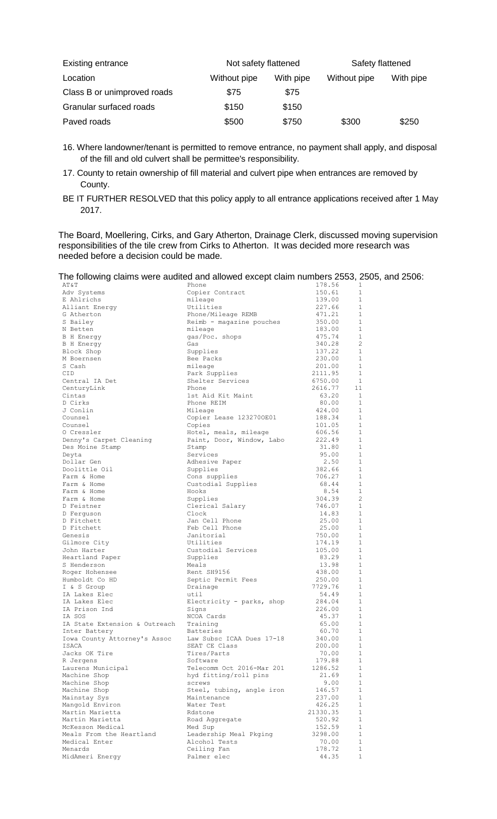| <b>Existing entrance</b>    | Not safety flattened |           | Safety flattened |           |
|-----------------------------|----------------------|-----------|------------------|-----------|
| Location                    | Without pipe         | With pipe | Without pipe     | With pipe |
| Class B or unimproved roads | \$75                 | \$75      |                  |           |
| Granular surfaced roads     | \$150                | \$150     |                  |           |
| Paved roads                 | \$500                | \$750     | \$300            | \$250     |

16. Where landowner/tenant is permitted to remove entrance, no payment shall apply, and disposal of the fill and old culvert shall be permittee's responsibility.

- 17. County to retain ownership of fill material and culvert pipe when entrances are removed by County.
- BE IT FURTHER RESOLVED that this policy apply to all entrance applications received after 1 May 2017.

The Board, Moellering, Cirks, and Gary Atherton, Drainage Clerk, discussed moving supervision responsibilities of the tile crew from Cirks to Atherton. It was decided more research was needed before a decision could be made.

The following claims were audited and allowed except claim numbers 2553, 2505, and 2506:

| AT&T                          | Phone                     | 178.56   | 1            |
|-------------------------------|---------------------------|----------|--------------|
| Adv Systems                   | Copier Contract           | 150.61   | 1            |
| E Ahlrichs                    | mileage                   | 139.00   | $\mathbf{1}$ |
| Alliant Energy                | Utilities                 | 227.66   | 1            |
| G Atherton                    | Phone/Mileage REMB        | 471.21   | $\mathbf{1}$ |
| S Bailey                      | Reimb - magazine pouches  | 350.00   | 1            |
| N Betten                      | mileage                   | 183.00   | 1            |
| <b>B</b> H Energy             | gas/Poc. shops            | 475.74   | 1            |
| B H Energy                    | Gas                       | 340.28   | $\mathbf{2}$ |
| Block Shop                    | Supplies                  | 137.22   | $\mathbf{1}$ |
| M Boernsen                    | Bee Packs                 | 230.00   | $\mathbf{1}$ |
| S Cash                        | mileage                   | 201.00   | 1            |
| CID                           | Park Supplies             | 2111.95  | $\mathbf{1}$ |
| Central IA Det                | Shelter Services          | 6750.00  | 1            |
| CenturyLink                   | Phone                     | 2616.77  | 11           |
| Cintas                        | 1st Aid Kit Maint         | 63.20    | 1            |
| D Cirks                       | Phone REIM                | 80.00    | $\mathbf{1}$ |
| J Conlin                      | Mileage                   | 424.00   | 1            |
| Counsel                       | Copier Lease 1232700E01   | 188.34   | $\mathbf{1}$ |
| Counsel                       | Copies                    | 101.05   | 1            |
| 0 Cressler                    | Hotel, meals, mileage     | 606.56   | 1            |
| Denny's Carpet Cleaning       | Paint, Door, Window, Labo | 222.49   | 1            |
| Des Moine Stamp               | Stamp                     | 31.80    | 1            |
| Deyta                         | Services                  | 95.00    | $\mathbf{1}$ |
| Dollar Gen                    | Adhesive Paper            | 2.50     | $\mathbf{1}$ |
| Doolittle Oil                 | Supplies                  | 382.66   | $\mathbf{1}$ |
| Farm & Home                   | Cons supplies             | 706.27   | $\mathbf{1}$ |
| Farm & Home                   | Custodial Supplies        | 68.44    | $\mathbf{1}$ |
| Farm & Home                   | Hooks                     | 8.54     | $\mathbf{1}$ |
| Farm & Home                   |                           | 304.39   | 2            |
| D Feistner                    | Supplies                  | 746.07   | 1            |
|                               | Clerical Salary           |          |              |
| D Ferguson                    | Clock                     | 14.83    | 1            |
| D Fitchett                    | Jan Cell Phone            | 25.00    | $\mathbf{1}$ |
| D Fitchett                    | Feb Cell Phone            | 25.00    | 1            |
| Genesis                       | Janitorial                | 750.00   | 1            |
| Gilmore City                  | Utilities                 | 174.19   | 1            |
| John Harter                   | Custodial Services        | 105.00   | 1            |
| Heartland Paper               | Supplies                  | 83.29    | $\mathbf{1}$ |
| S Henderson                   | Meals                     | 13.98    | 1            |
| Roger Hohensee                | Rent SH9156               | 438.00   | $\mathbf{1}$ |
| Humboldt Co HD                | Septic Permit Fees        | 250.00   | $\mathbf{1}$ |
| I & S Group                   | Drainage                  | 7729.76  | 1            |
| IA Lakes Elec                 | util                      | 54.49    | 1            |
| IA Lakes Elec                 | Electricity - parks, shop | 284.04   | 1            |
| IA Prison Ind                 | Signs                     | 226.00   | 1            |
| IA SOS                        | NCOA Cards                | 45.37    | 1            |
| IA State Extension & Outreach | Training                  | 65.00    | $\mathbf{1}$ |
| Inter Battery                 | Batteries                 | 60.70    | $\mathbf{1}$ |
| Iowa County Attorney's Assoc  | Law Subsc ICAA Dues 17-18 | 340.00   | 1            |
| ISACA                         | SEAT CE Class             | 200.00   | $\mathbf{1}$ |
| Jacks OK Tire                 | Tires/Parts               | 70.00    | $\mathbf{1}$ |
| R Jergens                     | Software                  | 179.88   | $\mathbf{1}$ |
| Laurens Municipal             | Telecomm Oct 2016-Mar 201 | 1286.52  | $\mathbf{1}$ |
| Machine Shop                  | hyd fitting/roll pins     | 21.69    | $\mathbf{1}$ |
| Machine Shop                  | screws                    | 9.00     | $\mathbf{1}$ |
| Machine Shop                  | Steel, tubing, angle iron | 146.57   | $\mathbf{1}$ |
| Mainstay Sys                  | Maintenance               | 237.00   | $\mathbf{1}$ |
| Mangold Environ               | Water Test                | 426.25   | $\mathbf{1}$ |
| Martin Marietta               | Rdstone                   | 21330.35 | 1            |
| Martin Marietta               | Road Aggregate            | 520.92   | $\mathbf{1}$ |
| McKesson Medical              | Med Sup                   | 152.59   | $\mathbf{1}$ |
| Meals From the Heartland      | Leadership Meal Pkging    | 3298.00  | $\mathbf{1}$ |
| Medical Enter                 | Alcohol Tests             | 70.00    | $\mathbf{1}$ |
| Menards                       | Ceiling Fan               | 178.72   | $\mathbf{1}$ |
| MidAmeri Energy               | Palmer elec               | 44.35    | $\mathbf{1}$ |